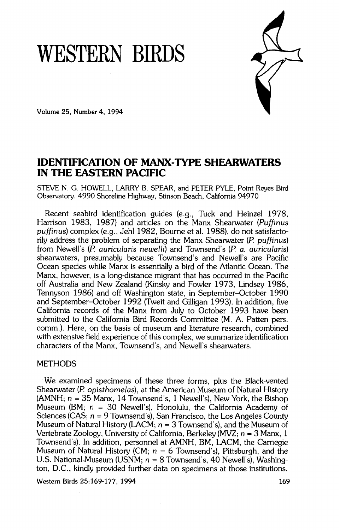# **WESTERN BIRDS**



**Volume 25, Number 4, 1994** 

# **IDENTIFICATION OF MANX-TYPE SHEARWATERS IN THE EASTERN PACIFIC**

**STEVE N. G. HOWELL, LARRY B. SPEAR, and PETER PYLE, Point Reyes Bird Observatory, 4990 Shoreline Highway, Stinson Beach, California 94970** 

**Recent seabird identification guides (e.g., Tuck and Heinzel 1978, Harrison 1983, 1987) and articles on the Manx Shearwater (Puffinus puffinus) complex (e.g., Jehl 1982, Bourne et al. 1988), do not satisfactorily address the problem of separating the Manx Shearwater (P. puffinus) from Newell's (P. auricularis newelli) and Townsend's (P. a. auricularis) shearwaters, presumably because Townsend's and Newell's are Pacific Ocean species while Manx is essentially abird of the Atlantic Ocean. The Manx, however, is a long-distance migrant that has occurred in the Pacific off Australia and New Zealand (Kinsky and Fowler 1973, Lindsey 1986, Tennyson 1986) and off Washington state, in September-October 1990 and September-October 1992 (Tweit and Gilligan 1993). In addition, five California records of the Manx from July to October 1993 have been submitted to the California Bird Records Committee (M. A. Patten pers. comm.). Here, on the basis of museum and literature research, combined with extensive field experience of this complex, we summarize identification characters of the Manx, Townsend's, and Newell's shearwaters.** 

# **METHODS**

**We examined specimens of these three forms, plus the Black-vented Shearwater (P. opisthomelas), at the American Museum of Natural History (AMNH; n = 35 Manx, 14 Townsend's, 1 Newell's), New York, the Bishop Museum (BM; n = 30 Newell's), Honolulu, the California Academy of Sciences (CAS; n = 9 Townsend's), San Francisco, the Los Angeles County**  Museum of Natural History (LACM;  $n = 3$  Townsend's), and the Museum of Vertebrate Zoology, University of California, Berkeley (MVZ; n = 3 Manx, 1 **Townsend's). In addition, personnel at AMNH, BM, LACM, the Carnegie Museum of Natural History (CM; n = 6 Townsend's), Pittsburgh, and the**  U.S. National Museum (USNM;  $n = 8$  Townsend's, 40 Newell's), Washing**ton, D.C., kindly provided further data on specimens at those institutions.** 

Western Birds 25:169-177, 1994 **169**  169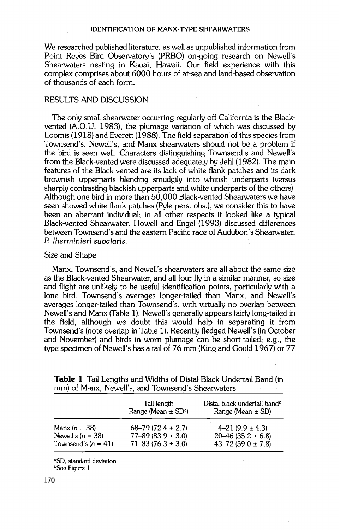**We researched published literature, as well as unpublished information from Point Reyes Bird Observatory's (PRBO) on-going research on Newell's Shearwaters nesting in Kauai, Hawaii. Our field experience with this complex comprises about 6000 hours of at-sea and land-based observation of thousands of each form.** 

## **RESULTS AND DISCUSSION**

**The only small shearwater occurring regularly off California is the Blackvented (A.O.U. 1983), the plumage variation of which was discussed by Loomis (1918) and Everett (1988). The field separation of this species from**  Townsend's, Newell's, and Manx shearwaters should not be a problem if the bird is seen well. Characters distinguishing Townsend's and Newell's **from the Black-vented were discussed adequately by Jehl (1982). The main features of the Black-vented are its lack of white flank patches and its dark brownish upperparts blending smudgily into whitish underparts (versus sharply contrasting blackish upperparts and white underparts of the others). Although one bird in more than 50,000 Black-vented Shearwaters we have seen showed white flank patches (Pyle pers. obs.), we consider this to have been an aberrant individual; in all other respects it looked like a typical Black-vented Shearwater. Howell and Engel (1993) discussedifferences between Townsend's and the eastern Pacific race of Audubon's Shearwater, P. lherminieri subalaris.** 

# **Size and Shape**

Manx, Townsend's, and Newell's shearwaters are all about the same size **as the Black-vented Shearwater, and all four fly in a similar manner, so size and flight are unlikely to be useful identification points, particularly with a lone bird. Townsend's averages longer-tailed than Manx, and Newell's averages longer-tailed than Townsend's, with virtually no overlap between Newell's and Manx (Table 1). Newell's generally appears fairly long-tailed in the field, although we doubt this would help in separating it from Townsend's (note overlap in Table 1). Recently fledged Newell's (in October and November) and birds in worn plumage can be short-tailed; e.g., the type'specimen of Newell's has a tail of 76 mm (King and Gould 1967) or 77** 

|                       | Tail length<br>Range (Mean $\pm$ SD <sup>q</sup> ) | Distal black undertail band <sup>b</sup><br>Range (Mean $\pm$ SD) |
|-----------------------|----------------------------------------------------|-------------------------------------------------------------------|
| Manx $(n = 38)$       | $68 - 79(72.4 \pm 2.7)$                            | $4 - 21 (9.9 \pm 4.3)$                                            |
| Newell's $(n = 38)$   | $77 - 89(83.9 \pm 3.0)$                            | $20-46(35.2 \pm 6.8)$                                             |
| Townsend's $(n = 41)$ | $71 - 83(76.3 \pm 3.0)$                            | $43 - 72(59.0 \pm 7.8)$                                           |

**Table 1 Tail Lengths and Widths of Distal Black Undertail Band (in**  mm) of Manx, Newell's, and Townsend's Shearwaters

**øSD, standard deviation.** 

**bSee Figure 1.**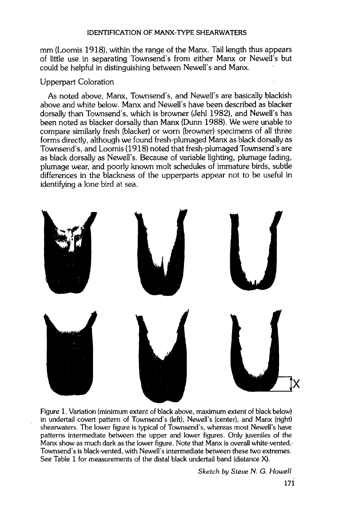**mm (Loomis 1918), within the range of the Manx. Tail length thus appears of little use in separating Townsend's from either Manx or Newell's but could be helpful in distinguishing between Newell's and Manx.** 

# **Upperpart Coloration**

**As noted above, Manx, Townsend's, and Newell's are basically blackish**  above and white below. Manx and Newell's have been described as blacker **dorsally than Townsend's, which is browner (Jehl 1982), and Newell's has been noted as blacker dorsally than Manx (Dunn 1988). We were unable to compare similarly fresh (blacker) or worn (browner) specimens of all three forms directly, although we found fresh-plumaged Manx as black dorsally as Townsend's, and Loomis (1918) noted that fresh-plumaged Townsend's are as black dorsally as Newell's. Because of variable lighting, plumage fading, plumage wear, and poorly known molt schedules ofimmature birds, subtle differences in the blackness of the upperparts appear not to be useful in identifying alone bird at sea.** 



**Figure 1. Variation (minimum extent of black above, maximum extent of black below) in undertail covert pattern of Townsend's (left), Newell's (center), and Manx (right)**  shearwaters. The lower figure is typical of Townsend's, whereas most Newell's have **patterns intermediate between the upper and lower figures. Only juveniles of the Manx show as much dark as the lower figure. Note that Manx is overall white-vented,-**  Townsend's is black-vented, with Newell's intermediate between these two extremes. **See Table 1 for measurements of the distal black undertail band (distance X).** 

**Sketch by Steve N. G. Howell**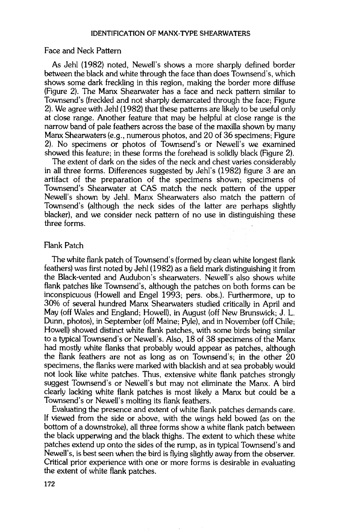#### **Face and Neck Pattern**

**As Jehl (1982) noted, Newell's shows a more sharply defined border between the black and white through the face than does Townsend's, which shows some dark freckling in this region, making the border more diffuse (Figure 2). The Manx Shearwater has a face and neck pattern similar to Townsend's (freckled and not sharply demarcated through the face; Figure 2). We agree with Jehl (1982) that these patterns are likely to be useful only at close range. Another feature that may be helpful at close range is the narrow band of pale feathers across the base of the maxilla shown by many Manx Shearwaters (e.g., numerous photos, and 20 of 36 specimens; Figure 2). No specimens or photos of Townsend's or Newell's we examined showed this feature; in these forms the forehead is solidly black (Figure 2).** 

**The extent of dark on the sides of the neck and chest varies considerably in all three forms. Differences suggested by Jehl's (1982) figure 3 are an artifact of the preparation of the specimens shown; specimens of Townsend's Shearwater at CAS match the neck pattern of the upper Newell's shown by Jehl. Manx Shearwaters also match the pattern of Townsend's (although the neck sides of the latter are perhaps slightly blacker), and we consider neck pattern of no use in distinguishing these three forms.** 

### **Flank Patch**

**The white flank patch of Townsend's (formed by clean white longest flank feathers) was first noted by Jehl (1982) as a field mark distinguishing it from the Black-vented and Audubon's shearwaters. Newell's also shows white flank patches like Townsend's, although the patches on both forms can be inconspicuous (Howell and Engel 1993; pers. obs.). Furthermore, up to 30% of several hundred Manx Shearwaters studied critically in April and May (off Wales and England; Howell), in August (off New Brunswick; J. L. Dunn, photos), in September (off Maine; Pyle), and in November (off Chile; Howell) showed distinct white flank patches, with some birds being similar to a typical Townsend's or Newell's. Also, 18 of 38 specimens of the Manx**  had mostly white flanks that probably would appear as patches, although **the flank feathers are not as long as on Townsend's; in the other 20**  specimens, the flanks were marked with blackish and at sea probably would **not look like white patches. Thus, extensive white flank patches strongly suggest Townsend's or Newell's but may not eliminate the Manx. A bird clearly lacking white flank patches is most likely a Manx but could be a Townsend's or Newell's molting its flank feathers.** 

**Evaluating the presence and extent of white flank patches demands care. If viewed from the side or above, with the wings held bowed (as on the bottom of a downstroke), all three forms show a white flank patch between**  the black upperwing and the black thighs. The extent to which these white **patches extend up onto the sides of the rump, as in typical Townsend's and Newell's, is best seen when the bird is flying slightly away from the observer. Critical prior experience with one or more forms is desirable in evaluating the extent of white flank patches.**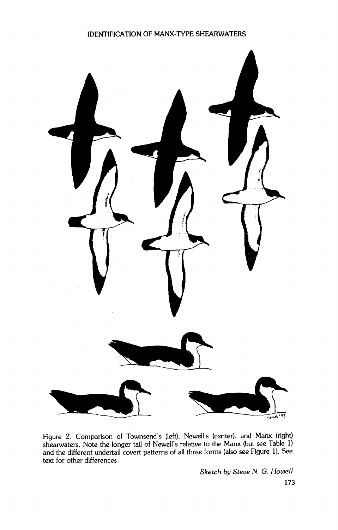

Figure 2. Comparison of Townsend's (left), Newell's (center), and Manx (right) **shearwaters. Note the longer tail of Neweli's relative to the Manx (but see Table 1) and the different undertail covert patterns of all three forms (also see Figure 1). See text for other differences.** 

**Sketch by Steve N. G. Howell**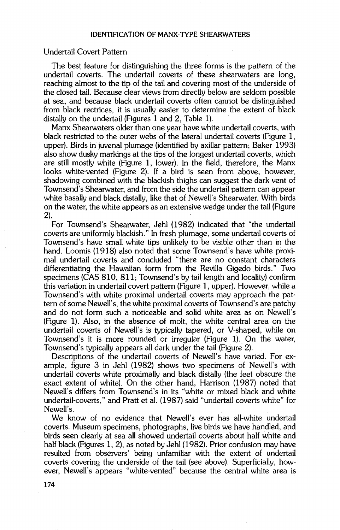#### **Undertail Covert Pattern**

**The best feature for distinguishing the three forms is the pattern of the undertail coverts. The undertail coverts of these shearwaters are long, reaching almost to the tip of the tail and covering most of the underside of the closed tail. Because clear views from directly below are seldom possible at sea, and because black undertail coverts often cannot be distinguished from black rectrices, it is usually easier to determine the extent of black distally on the undertail (Figures 1 and 2, Table 1).** 

**Manx Shearwaters older than one year have white undertail coverts, with black restricted to the outer webs of the lateral undertail coverts (Figure 1, upper). Birds in juvenal plumage (identified by axillar pattern; Baker 1993) also show dusky markings at the tips of the longest undertail coverts, which are still mostly white (Figure 1, lower). In the field, therefore, the Manx looks white-vented (Figure 2). If a bird is seen from above, however, shadowing combined with the blackish thighs can suggest the dark vent of Townsend's Shearwater, and from the side the undertail pattern can appear white basally and black distally, like that of Newell's Shearwater. With birds on the water, the white appears as an extensive wedge under the tail (Figure 2).** 

**For Townsend's Shearwater, Jehl (1982) indicated that "the undertail coverts are uniformly blackish." In fresh plumage, some undertail coverts of Townsend's have small white tips unlikely to be visible other than in the hand. Loomis (1918) also noted that some Townsend's have white proximal undertail coverts and concluded "there are no constant characters differentiating the Hawaiian form from the Revilla Gigedo birds." Two specimens (CAS 810, 811; Townsend's by tail length and locality) confirm this variation in undertail covert pattern (Figure 1, upper). However, while a Townsend's with white proximal undertail coverts may approach the pattern of some Newell's, the white proximal coverts of Townsend's are patchy and do not form such a noticeable and solid white area as on Newell's (Figure 1). Also, in the absence of molt, the white central area on the undertail coverts of Newell's is typically tapered, or V-shaped, while on Townsend's it is more rounded or irregular (Figure 1). On the water, Townsend's typically appears all dark under the tail (Figure 2).** 

**Descriptions of the undertail coverts of Newell's have varied. For example, figure 3 in Jehl (1982) shows two specimens of Newell's with undertail coverts white proximally and black distally (the feet obscure the exact extent of white). On the other hand, Harrison (1987) noted that Newell's differs from Townsend's in its "white or mixed black and white**  undertail-coverts," and Pratt et al. (1987) said "undertail coverts white" for Newell's.

**We know of no evidence that Newell's ever has all-white undertail coverts. Museum specimens, photographs, live birds we have handled, and birds seen clearly at sea all showed undertail coverts about half white and half black (Figures 1, 2), as noted by Jehl (1982). Prior confusion may have resulted from observers' being unfamiliar with the extent of undertail coverts covering the underside of the tail (see above). Superficially, however, Newell's appears "white-vented" because the central white area is**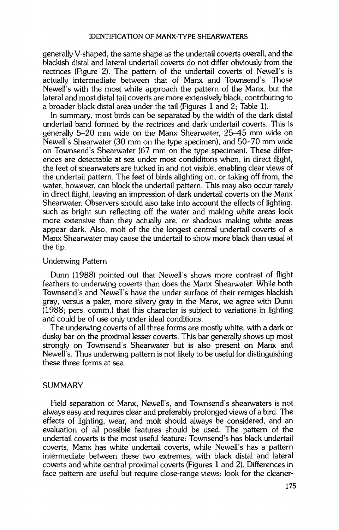**generally V-shaped, the same shape as the undertail coverts overall, and the blackish distal and lateral undertail coverts do not differ obviously from the rectrices (Figure 2). The pattern of the undertail coverts of Newell's is actually intermediate between that of Manx and Townsend's. Those Newell's with the most white approach the pattern of the Manx, but the lateral and most distal tail coverts are more extensively black, contributing to a broader black distal area under the tail (Figures 1 and 2; Table 1).** 

**In summary, most birds can be separated by the width of the dark distal undertail band formed by the rectrices and dark undertail coverts. This is generally 5-20 mm wide on the Manx Shearwater, 25-45 mm wide on Newell's Shearwater (30 mm on the type specimen), and 50-70 mm wide on Townsend's Shearwater (67 mm on the type specimen). These differences are detectable at sea under most condiditons when, in direct flight, the feet of shearwaters are tucked in and not visible, enabling clear views of the undertail pattern. The feet of birds alighting on, or taking off from, the water, however, can block the undertail pattern. This may also occur rarely in direct flight, leaving an impression of dark undertail coverts on the Manx-Shearwater. Observers should also take into account the effects of lighting, such as bright sun reflecting off the water and making white areas look more extensive than they actually are, or shadows making white areas appear dark. Also, molt of the the longest central undertail coverts of a Manx Shearwater may cause the undertail to show more black than usual at the tip.** 

#### **Underwing Pattern**

**Dunn (1988) pointed out that Newell's shows more contrast of flight feathers to underwing coverts than does the Manx Shearwater. While both Townsend's and Newell's have the under surface of their remiges blackish gray, versus a paler, more silvery gray in the Manx, we agree with Dunn**  (1988; pers. comm.) that this character is subject to variations in lighting **and could be of use only under ideal conditions.** 

**The underwing coverts of all three forms are mostly white, with a dark or dusky bar on the proximal lesser coverts. This bar generally shows up most strongly on Townsend's Shearwater but is also present on Manx and Newell's. Thus underwing pattern is not likely to be useful for distinguishing these three forms at sea.** 

### **SUMMARY**

Field separation of Manx, Newell's, and Townsend's shearwaters is not **always easy and requires clear and preferably prolonged views of a bird. The effects of lighting, wear, and molt should always be considered, and an evaluation of, all possible features should be used. The pattern of the**  undertail coverts is the most useful feature: Townsend's has black undertail **coverts, Manx has white undertail coverts, while Newell's has a pattern intermediate between these two extremes, with black distal and lateral coverts and white central proximal coverts (Figures 1 and 2). Differences in face pattern are useful but require close-range views: look for the cleaner-**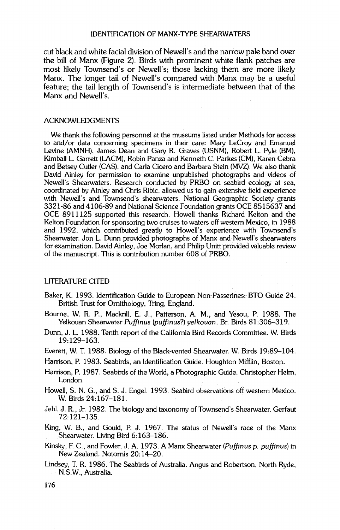cut black and white facial division of Newell's and the narrow pale band over **the bill of Manx (Figure 2). Birds with prominent white flank patches are most likely Townsend's or Newell's; those lacking them are more likely Manx. The longer tail of Newell's compared with Manx may be a useful feature; the tail length of Townsend's is intermediate between that of the Manx and Newell's.** 

#### **ACKNOWLEDGMENTS**

**We thank the following personnel at the museums listed under Methods for access to and/or data concerning specimens in their care: Mary LeCroy and Emanuel Levine (AMNH), James Dean and Gary R. Graves (USNM), Robert L. Pyle (BM), Kimball L. Garrett (LACM), Robin Panza and Kenneth C. Parkes (CM), Karen Cebra and Betsey Cutler (CAS), and Carla Cicero and Barbara Stein (MVZ). We also thank David Ainley for permission to examine unpublished photographs and videos of Newell's Shearwaters. Research conducted by PRBO on seabird ecology at sea, coordinated by Ainley and Chris Ribic, allowed us to gain extensive field experience with Newell's and Townsend's shearwaters. National Geographic Society grants 3321-86 and 4106-89 and National Science Foundation grants OCE 8515637 and OCE 8911125 supported this research. Howell thanks Richard Kelton and the Kelton Foundation for sponsoring two cruises to waters off western Mexico, in 1988**  and 1992, which contributed greatly to Howell's experience with Townsend's **Shearwater. Jon L. Dunn provided photographs of Manx and Newell's shearwaters**  for examination. David Ainley, Joe Morlan, and Philip Unitt provided valuable review **of the manuscript. This is contribution number 608 of PRBO.** 

#### **LITERATURE CITED**

- **Baker, K. 1993. Identification Guide to European Non-Passerines: BTO Guide 24. British Trust for Ornithology, Tring, England.**
- **Bourne, W. R. P., Mackrill, E. J., Patterson, A.M., and Yesou, P. 1988. The Yelkouan Shearwater Puffinus (puffinus?) yelkouan. Br. Birds 81:306-319.**
- **Dunn, J. L. 1988. Tenth report of the California Bird Records Committee. W. Birds 19:129-163.**
- **Everett, W. T. 1988. Biology of the Black-vented Shearwater. W. Birds 19:89-104.**
- **Harrison, P. 1983. Seabirds, an Identification Guide. Houghton Mifflin, Boston.**
- **Harrison, P. 1987. Seabirds of the World, a Photographic Guide. Christopher Helm, London.**
- **Howell, S. N. G., and S. J. Engel. 1993. Seabird observations off western Mexico. W. Birds 24:167-181.**
- **Jehl, J. R., Jr. 1982. The biology and taxonomy of Townsend's Shearwater. Gerfaut 72:121-135.**
- **King, W. B., and Gould, P. J. 1967. The status of Newell's race of the Manx Shearwater. Living Bird 6:163-186.**
- **Kinsky, E C., and Fowler, J. A. 1973. A Manx Shearwater (Puffinus p. puffinus) in**  New Zealand. Notornis 20:14–20.
- **Lindsey, T. R. 1986. The Seabirds of Australia. Angus and Robertson, North Ryde, N.S.W., Australia.**